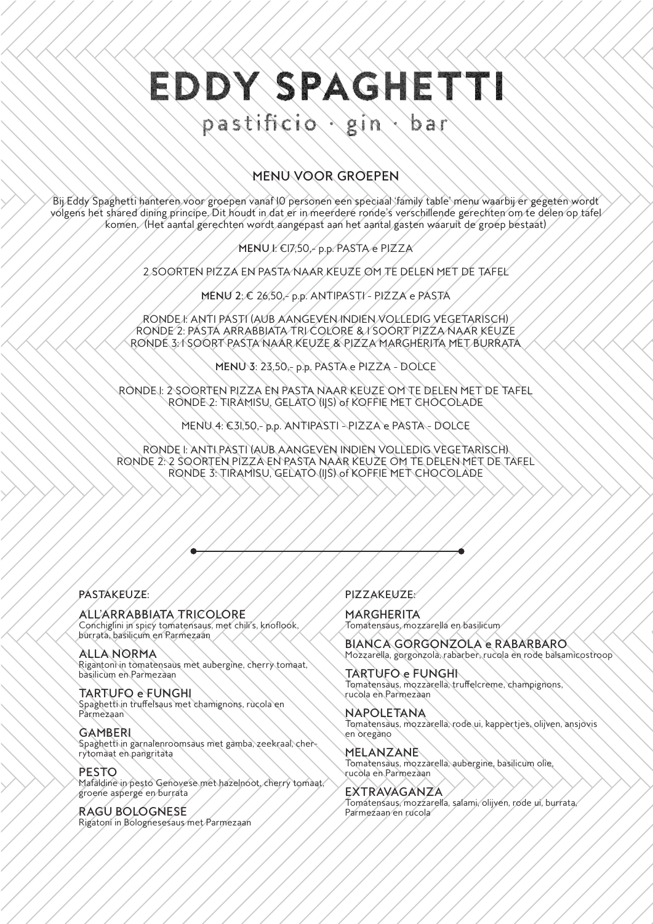# EDDY SPAGHETTI

#### pastificio gin b a r

# MENU VOOR GROEPEN

Bij Eddy Spaghetti hanteren voor groepen vanaf 10 personen een speciaal 'family table' menu waarbij er gegeten wordt volgens het shared dining principe. Dit houdt in dat er in meerdere ronde's verschillende gerechten om te delen op tafel komen. (Het aantal gerechten wordt aangepast aan het aantal gasten waaruit de groep bestaat)

MENU 1: €17,50,- p.p. PASTA e PIZZA

2 SOORTEN PIZZA EN PASTA NAAR KEUZE OM TE DELEN MET DE TAFEL

MENU 2: € 26,50, p.p. ANTIPASTI - PIZZA e PASTA

RONDE 1: ANTI PASTI (AUB AANGEVEN INDIEN VOLLEDIG VEGETARISCH) RONDE 2: PASTA ARRABBIATA TRI COLORE & 1 SOORT PIZZA NAAR KEUZE RONDE 3: 1 SOORT PASTA NAAR KEUZE & PIZZA MARGHERITA MET BURRATA

MENU 3: 23,50,- p.p. PASTA e PIZZA - DOLCE

RONDE 1: 2 SOORTEN PIZZA EN PASTA NAAR KEUZE OM TE DELEN MET DE TAFEL RONDE 2: TIRAMISU, GELATO (IJS) of KOFFIE MET CHOCOLADE

MENU 4: €31,50,- p.p. ANTIPASTI - PIZZA e PASTA - DOLCE

RONDE 1: ANTI PASTI (AUB AANGEVEN INDIEN VOLLEDIG VEGETARISCH) RONDE 2: 2 SOORTEN PIZZA EN PASTA NAAR KEUZE OM TE DELEN MET DE TAFEL RONDE 3: TIRAMISU, GELATO (IJS) of KOFFIE MET CHOCOLADE

## PASTAKEUZE:

### ALL'ARRABBIATA TRICOLORE

Conchiglini in spicy tomatensaus, met chili's, knoflook, burrata, basilicum en Parmezaan

ALLA NORMA Rigantoni in tomatensaus met aubergine, cherry tomaat, basilicum en Parmezaan

TARTUFO e FUNGHI Spaghetti in truffelsaus met chamignons, rucola en Parmezaan

**GAMBERI** Spaghetti in garnalenroomsaus met gamba, zeekraal, cherrytomaat en pangritata

**PESTO** Mafaldine in pesto Genovese met hazelnoot, cherry tomaat, groene asperge en burrata

RAGU BOLOGNESE Rigatoni in Bolognesesaus met Parmezaan

# PIZZAKEUZE:

MARGHERITA Tomatensaus, mozzarella en basilicum

BIANCA GORGONZOLA e RABARBARO Mozzarella, gorgonzola, rabarber, rucola en rode balsamicostroop

TARTUFO e FUNGHI Tomatensaus, mozzarella, truffelcreme, champignons, rucola en Parmezaan

NAPOLETANA Tomatensaus, mozzarella, rode ui, kappertjes, olijven, ansjovis en oregano

MELANZANE Tomatensaus, mozzarella, aubergine, basilicum olie, rucola en Parmezaan

EXTRAVAGANZA Tomatensaus, mozzarella, salami, olijven, rode ui, burrata, Parmezaan en rucola